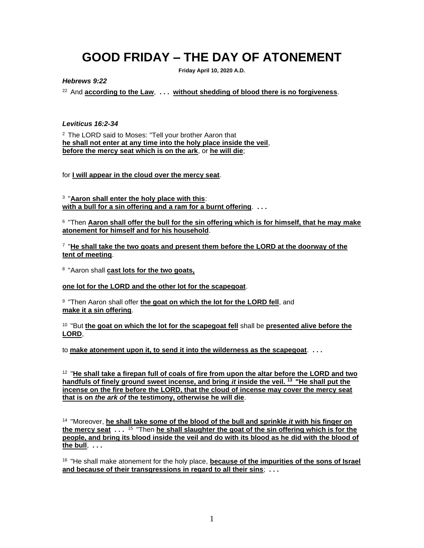# **GOOD FRIDAY – THE DAY OF ATONEMENT**

**Friday April 10, 2020 A.D.**

*Hebrews 9:22*

<sup>22</sup>And **according to the Law**, **. . . without shedding of blood there is no forgiveness**.

### *Leviticus 16:2-34*

<sup>2</sup> The LORD said to Moses: "Tell your brother Aaron that **he shall not enter at any time into the holy place inside the veil**, **before the mercy seat which is on the ark**, or **he will die**;

for **I will appear in the cloud over the mercy seat**.

3 "**Aaron shall enter the holy place with this**: **with a bull for a sin offering and a ram for a burnt offering**. **. . .**

6 "Then **Aaron shall offer the bull for the sin offering which is for himself, that he may make atonement for himself and for his household**.

7 "**He shall take the two goats and present them before the LORD at the doorway of the tent of meeting**.

8 "Aaron shall **cast lots for the two goats,**

**one lot for the LORD and the other lot for the scapegoat**.

9 "Then Aaron shall offer **the goat on which the lot for the LORD fell**, and **make it a sin offering**.

10 "But **the goat on which the lot for the scapegoat fell** shall be **presented alive before the LORD**,

to **make atonement upon it, to send it into the wilderness as the scapegoat**. **. . .**

12 "**He shall take a firepan full of coals of fire from upon the altar before the LORD and two handfuls of finely ground sweet incense, and bring** *it* **inside the veil. <sup>13</sup>"He shall put the incense on the fire before the LORD, that the cloud of incense may cover the mercy seat that is on** *the ark of* **the testimony, otherwise he will die**.

14 "Moreover, **he shall take some of the blood of the bull and sprinkle** *it* **with his finger on the mercy seat . . .** <sup>15</sup>"Then **he shall slaughter the goat of the sin offering which is for the people, and bring its blood inside the veil and do with its blood as he did with the blood of the bull**, **. . .**

16 "He shall make atonement for the holy place, **because of the impurities of the sons of Israel and because of their transgressions in regard to all their sins**; **. . .**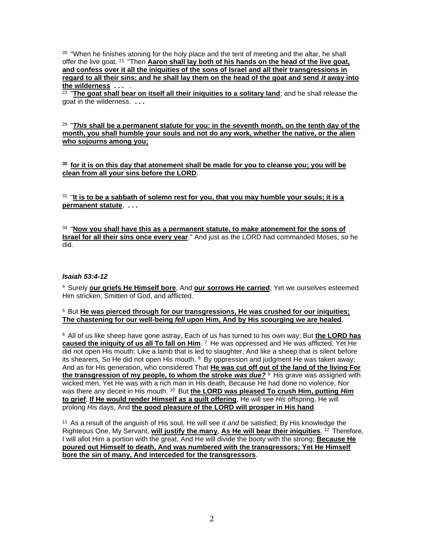<sup>20</sup> "When he finishes atoning for the holy place and the tent of meeting and the altar, he shall offer the live goat. <sup>21</sup> "Then **Aaron shall lay both of his hands on the head of the live goat, and confess over it all the iniquities of the sons of Israel and all their transgressions in regard to all their sins; and he shall lay them on the head of the goat and send** *it* **away into the wilderness . . .** .

22 "**The goat shall bear on itself all their iniquities to a solitary land**; and he shall release the goat in the wilderness. **. . .**

29 "*This* **shall be a permanent statute for you: in the seventh month, on the tenth day of the month, you shall humble your souls and not do any work, whether the native, or the alien who sojourns among you;** 

**<sup>30</sup>for it is on this day that atonement shall be made for you to cleanse you; you will be clean from all your sins before the LORD**.

31 "**It is to be a sabbath of solemn rest for you, that you may humble your souls; it is a permanent statute**. **. . .**

34 "**Now you shall have this as a permanent statute, to make atonement for the sons of Israel for all their sins once every year**." And just as the LORD had commanded Moses, *so* he did.

#### *Isaiah 53:4-12*

<sup>4</sup>Surely **our griefs He Himself bore**, And **our sorrows He carried**; Yet we ourselves esteemed Him stricken, Smitten of God, and afflicted.

### <sup>5</sup> But He was pierced through for our transgressions, He was crushed for our iniquities; **The chastening for our well-being** *fell* **upon Him, And by His scourging we are healed**.

<sup>6</sup>All of us like sheep have gone astray, Each of us has turned to his own way; But **the LORD has caused the iniquity of us all To fall on Him**. <sup>7</sup> He was oppressed and He was afflicted, Yet He did not open His mouth; Like a lamb that is led to slaughter, And like a sheep that is silent before its shearers, So He did not open His mouth.  $8$  By oppression and judgment He was taken away; And as for His generation, who considered That **He was cut off out of the land of the living For**  the transgression of my people, to whom the stroke was due?<sup>9</sup> His grave was assigned with wicked men, Yet He was with a rich man in His death, Because He had done no violence, Nor was there any deceit in His mouth. <sup>10</sup> But the LORD was pleased To crush Him, putting *Him* **to grief**; **If He would render Himself** *as* **a guilt offering**, He will see *His* offspring, He will prolong *His* days, And **the good pleasure of the LORD will prosper in His hand**.

<sup>11</sup> As a result of the anguish of His soul, He will see *it and* be satisfied; By His knowledge the Righteous One, My Servant, **will justify the many**, **As He will bear their iniquities**. <sup>12</sup>Therefore, I will allot Him a portion with the great, And He will divide the booty with the strong; **Because He poured out Himself to death, And was numbered with the transgressors; Yet He Himself bore the sin of many, And interceded for the transgressors**.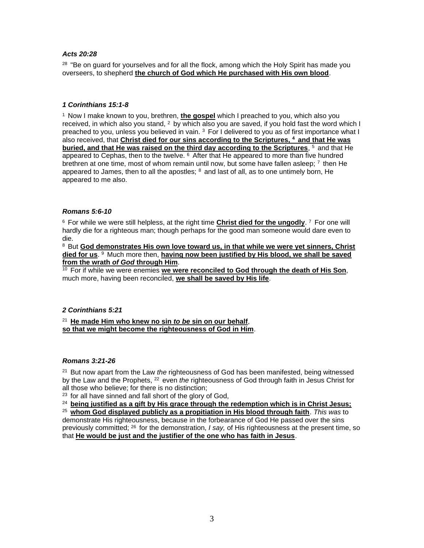# *Acts 20:28*

<sup>28</sup> "Be on guard for yourselves and for all the flock, among which the Holy Spirit has made you overseers, to shepherd **the church of God which He purchased with His own blood**.

### *1 Corinthians 15:1-8*

<sup>1</sup> Now I make known to you, brethren, **the gospel** which I preached to you, which also you received, in which also you stand,  $2$  by which also you are saved, if you hold fast the word which I preached to you, unless you believed in vain. <sup>3</sup> For I delivered to you as of first importance what I also received, that **Christ died for our sins according to the Scriptures, <sup>4</sup>and that He was buried, and that He was raised on the third day according to the Scriptures**, <sup>5</sup> and that He appeared to Cephas, then to the twelve.  $6$  After that He appeared to more than five hundred brethren at one time, most of whom remain until now, but some have fallen asleep;  $\frac{7}{1}$  then He appeared to James, then to all the apostles;  $8$  and last of all, as to one untimely born, He appeared to me also.

# *Romans 5:6-10*

<sup>6</sup> For while we were still helpless, at the right time **Christ died for the ungodly**. 7 For one will hardly die for a righteous man; though perhaps for the good man someone would dare even to die.

<sup>8</sup> But God demonstrates His own love toward us, in that while we were yet sinners, Christ died for us. <sup>9</sup> Much more then, **having now been justified by His blood, we shall be saved from the wrath** *of God* **through Him**.

<sup>10</sup> For if while we were enemies we were reconciled to God through the death of His Son, much more, having been reconciled, **we shall be saved by His life**.

# *2 Corinthians 5:21*

<sup>21</sup>**He made Him who knew no sin** *to be* **sin on our behalf**, **so that we might become the righteousness of God in Him**.

#### *Romans 3:21-26*

<sup>21</sup> But now apart from the Law *the* righteousness of God has been manifested, being witnessed by the Law and the Prophets, <sup>22</sup> even *the* righteousness of God through faith in Jesus Christ for all those who believe; for there is no distinction;

 $23$  for all have sinned and fall short of the glory of God,

<sup>24</sup> being justified as a gift by His grace through the redemption which is in Christ Jesus; <sup>25</sup>**whom God displayed publicly as a propitiation in His blood through faith**. *This was* to demonstrate His righteousness, because in the forbearance of God He passed over the sins previously committed; <sup>26</sup> for the demonstration, *I say*, of His righteousness at the present time, so that **He would be just and the justifier of the one who has faith in Jesus**.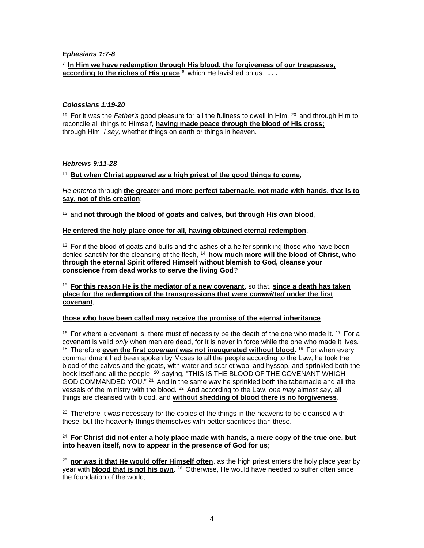### *Ephesians 1:7-8*

### <sup>7</sup>**In Him we have redemption through His blood, the forgiveness of our trespasses, according to the riches of His grace** <sup>8</sup> which He lavished on us. ...

#### *Colossians 1:19-20*

<sup>19</sup> For it was the *Father's* good pleasure for all the fullness to dwell in Him, <sup>20</sup> and through Him to reconcile all things to Himself, **having made peace through the blood of His cross;** through Him, *I say,* whether things on earth or things in heaven.

### *Hebrews 9:11-28*

# <sup>11</sup>**But when Christ appeared** *as* **a high priest of the good things to come**,

*He entered* through **the greater and more perfect tabernacle, not made with hands, that is to say, not of this creation**;

<sup>12</sup> and not through the blood of goats and calves, but through His own blood,

#### **He entered the holy place once for all, having obtained eternal redemption**.

 $13$  For if the blood of goats and bulls and the ashes of a heifer sprinkling those who have been defiled sanctify for the cleansing of the flesh, <sup>14</sup> how much more will the blood of Christ, who **through the eternal Spirit offered Himself without blemish to God, cleanse your conscience from dead works to serve the living God**?

<sup>15</sup>**For this reason He is the mediator of a new covenant**, so that, **since a death has taken place for the redemption of the transgressions that were** *committed* **under the first covenant**,

#### **those who have been called may receive the promise of the eternal inheritance**.

 $16$  For where a covenant is, there must of necessity be the death of the one who made it.  $17$  For a covenant is valid *only* when men are dead, for it is never in force while the one who made it lives. <sup>18</sup> Therefore **even the first** *covenant* **was not inaugurated without blood**. <sup>19</sup> For when every commandment had been spoken by Moses to all the people according to the Law, he took the blood of the calves and the goats, with water and scarlet wool and hyssop, and sprinkled both the book itself and all the people, <sup>20</sup> saying, "THIS IS THE BLOOD OF THE COVENANT WHICH GOD COMMANDED YOU." <sup>21</sup> And in the same way he sprinkled both the tabernacle and all the vessels of the ministry with the blood. <sup>22</sup>And according to the Law, *one may* almost *say,* all things are cleansed with blood, and **without shedding of blood there is no forgiveness**.

 $23$  Therefore it was necessary for the copies of the things in the heavens to be cleansed with these, but the heavenly things themselves with better sacrifices than these.

#### <sup>24</sup>**For Christ did not enter a holy place made with hands, a** *mere* **copy of the true one, but into heaven itself, now to appear in the presence of God for us**;

<sup>25</sup>**nor was it that He would offer Himself often**, as the high priest enters the holy place year by year with **blood that is not his own**. <sup>26</sup> Otherwise, He would have needed to suffer often since the foundation of the world;